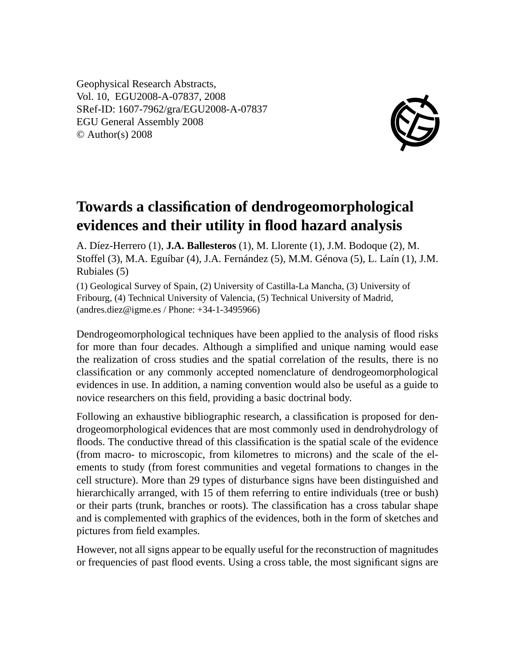Geophysical Research Abstracts, Vol. 10, EGU2008-A-07837, 2008 SRef-ID: 1607-7962/gra/EGU2008-A-07837 EGU General Assembly 2008 © Author(s) 2008



## **Towards a classification of dendrogeomorphological evidences and their utility in flood hazard analysis**

A. Díez-Herrero (1), **J.A. Ballesteros** (1), M. Llorente (1), J.M. Bodoque (2), M. Stoffel (3), M.A. Eguíbar (4), J.A. Fernández (5), M.M. Génova (5), L. Laín (1), J.M. Rubiales (5)

(1) Geological Survey of Spain, (2) University of Castilla-La Mancha, (3) University of Fribourg, (4) Technical University of Valencia, (5) Technical University of Madrid, (andres.diez@igme.es / Phone: +34-1-3495966)

Dendrogeomorphological techniques have been applied to the analysis of flood risks for more than four decades. Although a simplified and unique naming would ease the realization of cross studies and the spatial correlation of the results, there is no classification or any commonly accepted nomenclature of dendrogeomorphological evidences in use. In addition, a naming convention would also be useful as a guide to novice researchers on this field, providing a basic doctrinal body.

Following an exhaustive bibliographic research, a classification is proposed for dendrogeomorphological evidences that are most commonly used in dendrohydrology of floods. The conductive thread of this classification is the spatial scale of the evidence (from macro- to microscopic, from kilometres to microns) and the scale of the elements to study (from forest communities and vegetal formations to changes in the cell structure). More than 29 types of disturbance signs have been distinguished and hierarchically arranged, with 15 of them referring to entire individuals (tree or bush) or their parts (trunk, branches or roots). The classification has a cross tabular shape and is complemented with graphics of the evidences, both in the form of sketches and pictures from field examples.

However, not all signs appear to be equally useful for the reconstruction of magnitudes or frequencies of past flood events. Using a cross table, the most significant signs are